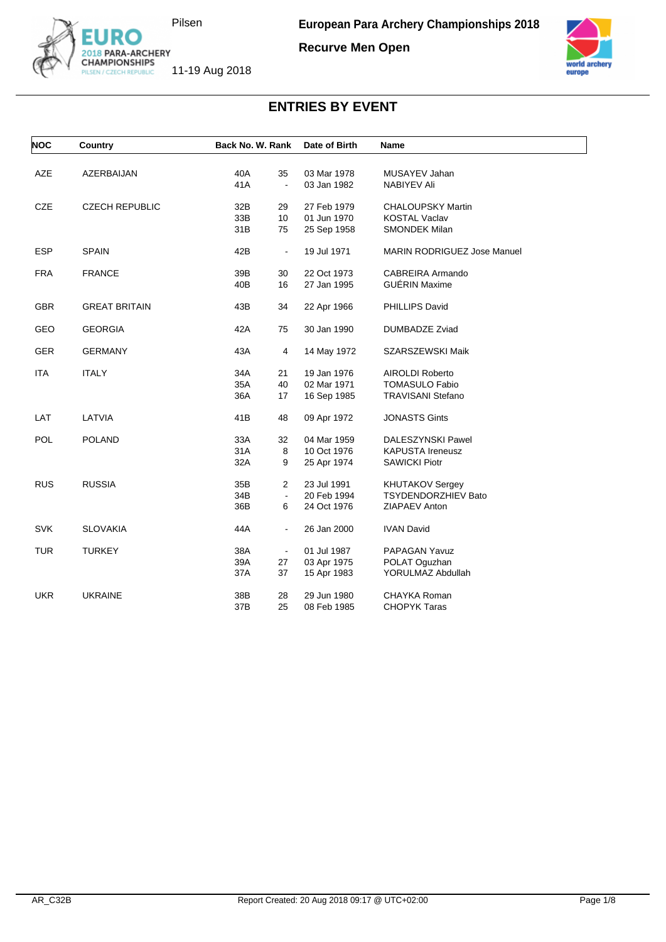

**Recurve Men Open**



| <b>NOC</b> | Country               | Back No. W. Rank      | Date of Birth | <b>Name</b>                        |
|------------|-----------------------|-----------------------|---------------|------------------------------------|
|            |                       |                       |               |                                    |
| <b>AZE</b> | AZERBAIJAN            | 40A<br>35             | 03 Mar 1978   | MUSAYEV Jahan                      |
|            |                       | 41A<br>$\blacksquare$ | 03 Jan 1982   | NABIYEV Ali                        |
| <b>CZE</b> | <b>CZECH REPUBLIC</b> | 32B<br>29             | 27 Feb 1979   | <b>CHALOUPSKY Martin</b>           |
|            |                       | 33B<br>10             | 01 Jun 1970   | <b>KOSTAL Vaclav</b>               |
|            |                       | 31B<br>75             | 25 Sep 1958   | <b>SMONDEK Milan</b>               |
| <b>ESP</b> | <b>SPAIN</b>          | 42B<br>$\blacksquare$ | 19 Jul 1971   | <b>MARIN RODRIGUEZ Jose Manuel</b> |
| <b>FRA</b> | <b>FRANCE</b>         | 39B<br>30             | 22 Oct 1973   | CABREIRA Armando                   |
|            |                       | 40B<br>16             | 27 Jan 1995   | <b>GUÉRIN Maxime</b>               |
| <b>GBR</b> | <b>GREAT BRITAIN</b>  | 43B<br>34             | 22 Apr 1966   | PHILLIPS David                     |
| <b>GEO</b> | <b>GEORGIA</b>        | 42A<br>75             | 30 Jan 1990   | DUMBADZE Zviad                     |
| <b>GER</b> | <b>GERMANY</b>        | 43A<br>4              | 14 May 1972   | SZARSZEWSKI Maik                   |
| <b>ITA</b> | <b>ITALY</b>          | 34A<br>21             | 19 Jan 1976   | <b>AIROLDI Roberto</b>             |
|            |                       | 35A<br>40             | 02 Mar 1971   | <b>TOMASULO Fabio</b>              |
|            |                       | 36A<br>17             | 16 Sep 1985   | <b>TRAVISANI Stefano</b>           |
| LAT        | LATVIA                | 41B<br>48             | 09 Apr 1972   | <b>JONASTS Gints</b>               |
| <b>POL</b> | <b>POLAND</b>         | 33A<br>32             | 04 Mar 1959   | DALESZYNSKI Pawel                  |
|            |                       | 31A<br>8              | 10 Oct 1976   | <b>KAPUSTA Ireneusz</b>            |
|            |                       | 32A<br>9              | 25 Apr 1974   | <b>SAWICKI Piotr</b>               |
| <b>RUS</b> | <b>RUSSIA</b>         | 35B<br>$\overline{2}$ | 23 Jul 1991   | <b>KHUTAKOV Sergey</b>             |
|            |                       | 34B<br>$\blacksquare$ | 20 Feb 1994   | <b>TSYDENDORZHIEV Bato</b>         |
|            |                       | 36B<br>6              | 24 Oct 1976   | ZIAPAEV Anton                      |
| <b>SVK</b> | <b>SLOVAKIA</b>       | 44A<br>$\blacksquare$ | 26 Jan 2000   | <b>IVAN David</b>                  |
| <b>TUR</b> | <b>TURKEY</b>         | 38A<br>$\blacksquare$ | 01 Jul 1987   | PAPAGAN Yavuz                      |
|            |                       | 39A<br>27             | 03 Apr 1975   | POLAT Oguzhan                      |
|            |                       | 37A<br>37             | 15 Apr 1983   | YORULMAZ Abdullah                  |
| <b>UKR</b> | <b>UKRAINE</b>        | 38B<br>28             | 29 Jun 1980   | CHAYKA Roman                       |
|            |                       | 37B<br>25             | 08 Feb 1985   | <b>CHOPYK Taras</b>                |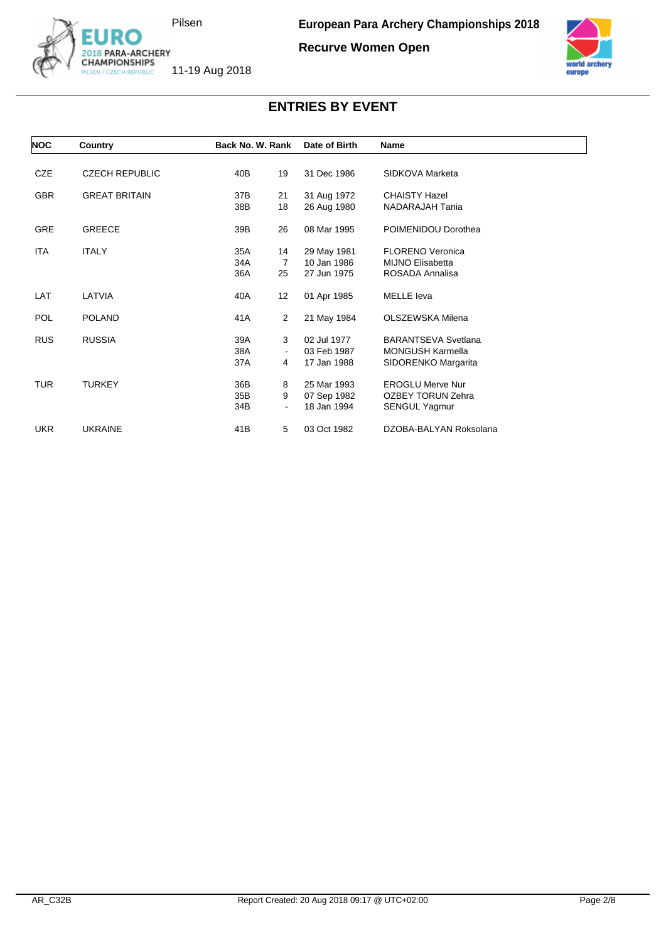

**Recurve Women Open**



| <b>NOC</b> | Country               | Back No. W. Rank |                   | Date of Birth | Name                       |
|------------|-----------------------|------------------|-------------------|---------------|----------------------------|
|            |                       |                  |                   |               |                            |
| <b>CZE</b> | <b>CZECH REPUBLIC</b> | 40B              | 19                | 31 Dec 1986   | SIDKOVA Marketa            |
| <b>GBR</b> | <b>GREAT BRITAIN</b>  | 37B              | 21                | 31 Aug 1972   | <b>CHAISTY Hazel</b>       |
|            |                       | 38B              | 18                | 26 Aug 1980   | NADARAJAH Tania            |
| <b>GRE</b> | <b>GREECE</b>         | 39B              | 26                | 08 Mar 1995   | POIMENIDOU Dorothea        |
| <b>ITA</b> | <b>ITALY</b>          | 35A              | 14                | 29 May 1981   | <b>FLORENO Veronica</b>    |
|            |                       | 34A              | $\overline{7}$    | 10 Jan 1986   | <b>MIJNO Elisabetta</b>    |
|            |                       | 36A              | 25                | 27 Jun 1975   | ROSADA Annalisa            |
| LAT        | LATVIA                | 40A              | $12 \overline{ }$ | 01 Apr 1985   | <b>MELLE</b> leva          |
| <b>POL</b> | <b>POLAND</b>         | 41 A             | 2                 | 21 May 1984   | OLSZEWSKA Milena           |
| <b>RUS</b> | <b>RUSSIA</b>         | 39A              | 3                 | 02 Jul 1977   | <b>BARANTSEVA Svetlana</b> |
|            |                       | 38A              | $\blacksquare$    | 03 Feb 1987   | <b>MONGUSH Karmella</b>    |
|            |                       | 37A              | 4                 | 17 Jan 1988   | SIDORENKO Margarita        |
| <b>TUR</b> | <b>TURKEY</b>         | 36B              | 8                 | 25 Mar 1993   | <b>EROGLU Merve Nur</b>    |
|            |                       | 35B              | 9                 | 07 Sep 1982   | <b>OZBEY TORUN Zehra</b>   |
|            |                       | 34B              | $\blacksquare$    | 18 Jan 1994   | SENGUL Yagmur              |
| <b>UKR</b> | <b>UKRAINE</b>        | 41B              | 5                 | 03 Oct 1982   | DZOBA-BALYAN Roksolana     |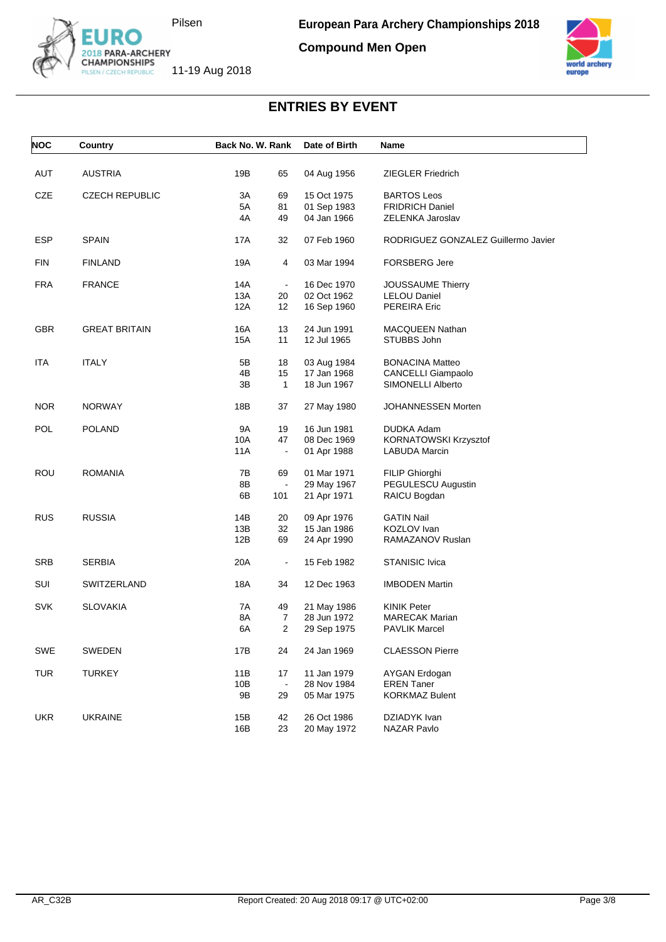

**Compound Men Open**



| <b>NOC</b> | Country               | Back No. W. Rank |                | Date of Birth | Name                                |
|------------|-----------------------|------------------|----------------|---------------|-------------------------------------|
| AUT        | <b>AUSTRIA</b>        | 19B              | 65             | 04 Aug 1956   | <b>ZIEGLER Friedrich</b>            |
| CZE        | <b>CZECH REPUBLIC</b> | 3A               | 69             | 15 Oct 1975   | <b>BARTOS Leos</b>                  |
|            |                       | 5A               | 81             | 01 Sep 1983   | <b>FRIDRICH Daniel</b>              |
|            |                       | 4A               | 49             | 04 Jan 1966   | ZELENKA Jaroslav                    |
|            |                       |                  |                |               |                                     |
| <b>ESP</b> | <b>SPAIN</b>          | 17A              | 32             | 07 Feb 1960   | RODRIGUEZ GONZALEZ Guillermo Javier |
| <b>FIN</b> | <b>FINLAND</b>        | 19A              | 4              | 03 Mar 1994   | <b>FORSBERG Jere</b>                |
| <b>FRA</b> | <b>FRANCE</b>         | 14A              | $\blacksquare$ | 16 Dec 1970   | <b>JOUSSAUME Thierry</b>            |
|            |                       | 13A              | 20             | 02 Oct 1962   | <b>LELOU Daniel</b>                 |
|            |                       | 12A              | 12             | 16 Sep 1960   | PEREIRA Eric                        |
|            |                       |                  |                |               |                                     |
| <b>GBR</b> | <b>GREAT BRITAIN</b>  | 16A              | 13             | 24 Jun 1991   | <b>MACQUEEN Nathan</b>              |
|            |                       | 15A              | 11             | 12 Jul 1965   | STUBBS John                         |
| ITA        | <b>ITALY</b>          | 5Β               | 18             | 03 Aug 1984   | <b>BONACINA Matteo</b>              |
|            |                       | 4B               | 15             | 17 Jan 1968   | CANCELLI Giampaolo                  |
|            |                       | 3B               | $\mathbf{1}$   | 18 Jun 1967   | SIMONELLI Alberto                   |
|            |                       |                  |                |               |                                     |
| NOR.       | <b>NORWAY</b>         | 18B              | 37             | 27 May 1980   | JOHANNESSEN Morten                  |
| <b>POL</b> | <b>POLAND</b>         | 9A               | 19             | 16 Jun 1981   | DUDKA Adam                          |
|            |                       | 10A              | 47             | 08 Dec 1969   | KORNATOWSKI Krzysztof               |
|            |                       | 11A              | $\blacksquare$ | 01 Apr 1988   | <b>LABUDA Marcin</b>                |
| ROU        | <b>ROMANIA</b>        | 7В               | 69             | 01 Mar 1971   | FILIP Ghiorghi                      |
|            |                       | 8Β               | $\Box$         | 29 May 1967   | PEGULESCU Augustin                  |
|            |                       | 6B               | 101            | 21 Apr 1971   | RAICU Bogdan                        |
|            |                       |                  |                |               |                                     |
| <b>RUS</b> | <b>RUSSIA</b>         | 14B              | 20             | 09 Apr 1976   | <b>GATIN Nail</b>                   |
|            |                       | 13B              | 32             | 15 Jan 1986   | KOZLOV Ivan                         |
|            |                       | 12B              | 69             | 24 Apr 1990   | RAMAZANOV Ruslan                    |
| <b>SRB</b> | <b>SERBIA</b>         | 20A              | $\blacksquare$ | 15 Feb 1982   | <b>STANISIC Ivica</b>               |
| SUI        | SWITZERLAND           | 18A              | 34             | 12 Dec 1963   | <b>IMBODEN Martin</b>               |
| <b>SVK</b> | <b>SLOVAKIA</b>       | 7A               | 49             | 21 May 1986   | <b>KINIK Peter</b>                  |
|            |                       | 8A               | $\overline{7}$ | 28 Jun 1972   | <b>MARECAK Marian</b>               |
|            |                       | 6A               | $\overline{2}$ | 29 Sep 1975   | <b>PAVLIK Marcel</b>                |
|            |                       |                  |                |               |                                     |
| SWE        | SWEDEN                | 17B              | 24             | 24 Jan 1969   | <b>CLAESSON Pierre</b>              |
| <b>TUR</b> | <b>TURKEY</b>         | 11B              | 17             | 11 Jan 1979   | <b>AYGAN Erdogan</b>                |
|            |                       | 10B              | $\blacksquare$ | 28 Nov 1984   | <b>EREN Taner</b>                   |
|            |                       | 9B               | 29             | 05 Mar 1975   | <b>KORKMAZ Bulent</b>               |
|            |                       |                  |                |               |                                     |
| <b>UKR</b> | <b>UKRAINE</b>        | 15B              | 42             | 26 Oct 1986   | DZIADYK Ivan                        |
|            |                       | 16B              | 23             | 20 May 1972   | NAZAR Pavlo                         |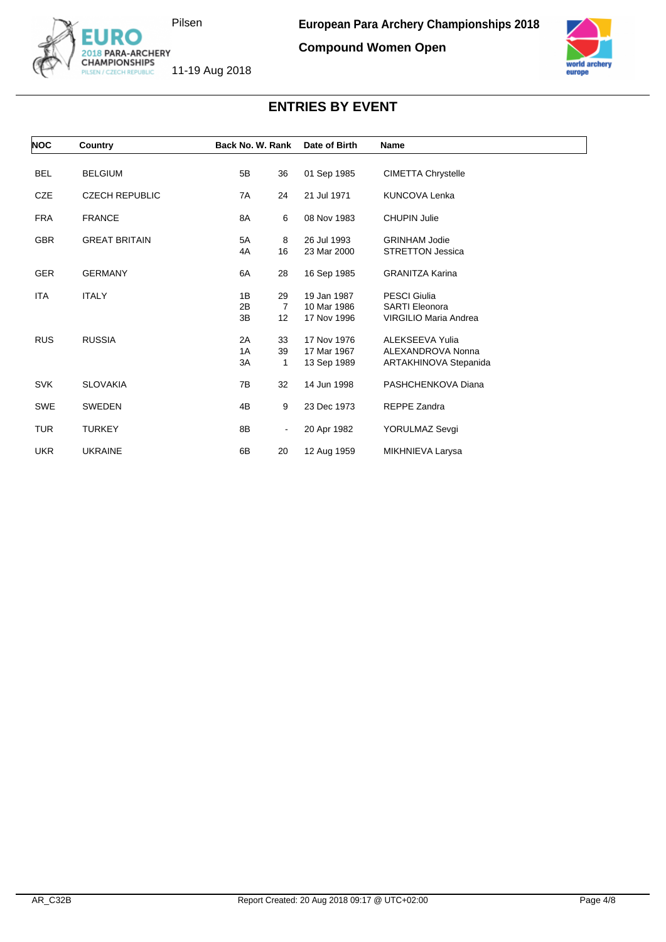

**Compound Women Open**



| <b>NOC</b> | Country               | Back No. W. Rank                                          | Date of Birth                             | <b>Name</b>                                                           |
|------------|-----------------------|-----------------------------------------------------------|-------------------------------------------|-----------------------------------------------------------------------|
| <b>BEL</b> | <b>BELGIUM</b>        | 5B<br>36                                                  | 01 Sep 1985                               | <b>CIMETTA Chrystelle</b>                                             |
| <b>CZE</b> | <b>CZECH REPUBLIC</b> | 7A<br>24                                                  | 21 Jul 1971                               | <b>KUNCOVA Lenka</b>                                                  |
| <b>FRA</b> | <b>FRANCE</b>         | 6<br>8A                                                   | 08 Nov 1983                               | <b>CHUPIN Julie</b>                                                   |
| <b>GBR</b> | <b>GREAT BRITAIN</b>  | 5A<br>8<br>4A<br>16                                       | 26 Jul 1993<br>23 Mar 2000                | <b>GRINHAM Jodie</b><br><b>STRETTON Jessica</b>                       |
| <b>GER</b> | <b>GERMANY</b>        | 6A<br>28                                                  | 16 Sep 1985                               | <b>GRANITZA Karina</b>                                                |
| <b>ITA</b> | <b>ITALY</b>          | 1B<br>29<br>2B<br>$\overline{7}$<br>3B<br>12 <sup>2</sup> | 19 Jan 1987<br>10 Mar 1986<br>17 Nov 1996 | <b>PESCI Giulia</b><br><b>SARTI Eleonora</b><br>VIRGILIO Maria Andrea |
| <b>RUS</b> | <b>RUSSIA</b>         | 2A<br>33<br>1A<br>39<br>3A<br>1                           | 17 Nov 1976<br>17 Mar 1967<br>13 Sep 1989 | ALEKSEEVA Yulia<br>ALEXANDROVA Nonna<br>ARTAKHINOVA Stepanida         |
| <b>SVK</b> | <b>SLOVAKIA</b>       | 7B<br>32                                                  | 14 Jun 1998                               | PASHCHENKOVA Diana                                                    |
| <b>SWE</b> | <b>SWEDEN</b>         | 4B<br>9                                                   | 23 Dec 1973                               | <b>REPPE Zandra</b>                                                   |
| <b>TUR</b> | <b>TURKEY</b>         | 8Β<br>$\blacksquare$                                      | 20 Apr 1982                               | YORULMAZ Sevgi                                                        |
| <b>UKR</b> | <b>UKRAINE</b>        | 6B<br>20                                                  | 12 Aug 1959                               | MIKHNIEVA Larysa                                                      |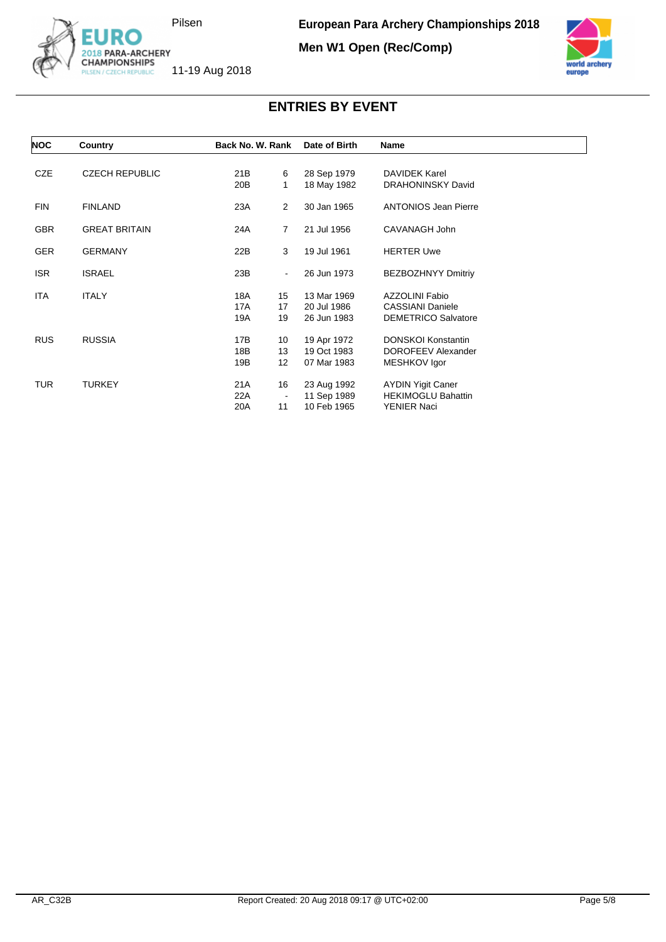

**Men W1 Open (Rec/Comp)**



| <b>NOC</b> | Country               | Back No. W. Rank |                | Date of Birth | Name                        |
|------------|-----------------------|------------------|----------------|---------------|-----------------------------|
| <b>CZE</b> | <b>CZECH REPUBLIC</b> | 21B              | 6              | 28 Sep 1979   | <b>DAVIDEK Karel</b>        |
|            |                       | 20 <sub>B</sub>  | 1              | 18 May 1982   | <b>DRAHONINSKY David</b>    |
| <b>FIN</b> | <b>FINLAND</b>        | 23A              | $\overline{2}$ | 30 Jan 1965   | <b>ANTONIOS Jean Pierre</b> |
| <b>GBR</b> | <b>GREAT BRITAIN</b>  | 24A              | $\overline{7}$ | 21 Jul 1956   | CAVANAGH John               |
| <b>GER</b> | <b>GERMANY</b>        | 22B              | 3              | 19 Jul 1961   | <b>HERTER Uwe</b>           |
| ISR.       | <b>ISRAEL</b>         | 23B              | ۰              | 26 Jun 1973   | <b>BEZBOZHNYY Dmitriy</b>   |
| <b>ITA</b> | <b>ITALY</b>          | 18A              | 15             | 13 Mar 1969   | <b>AZZOLINI Fabio</b>       |
|            |                       | 17A              | 17             | 20 Jul 1986   | <b>CASSIANI Daniele</b>     |
|            |                       | 19A              | 19             | 26 Jun 1983   | <b>DEMETRICO Salvatore</b>  |
| <b>RUS</b> | <b>RUSSIA</b>         | 17B              | 10             | 19 Apr 1972   | <b>DONSKOI Konstantin</b>   |
|            |                       | 18B              | 13             | 19 Oct 1983   | DOROFEEV Alexander          |
|            |                       | 19B              | 12             | 07 Mar 1983   | MESHKOV Igor                |
| <b>TUR</b> | <b>TURKEY</b>         | 21 A             | 16             | 23 Aug 1992   | <b>AYDIN Yigit Caner</b>    |
|            |                       | 22A              | $\blacksquare$ | 11 Sep 1989   | <b>HEKIMOGLU Bahattin</b>   |
|            |                       | 20A              | 11             | 10 Feb 1965   | <b>YENIER Naci</b>          |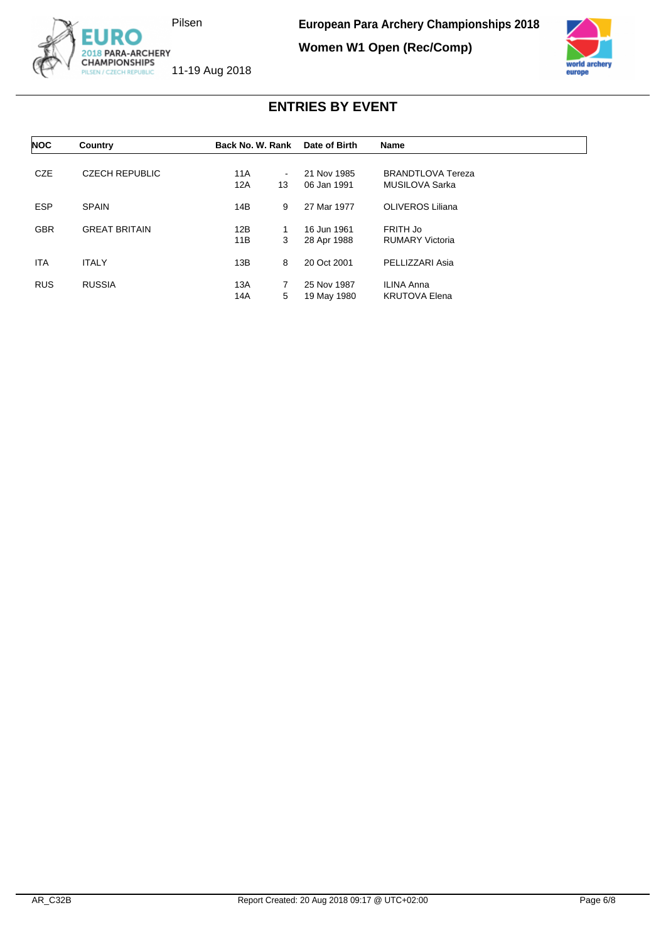

**European Para Archery Championships 2018**

**Women W1 Open (Rec/Comp)**



| <b>NOC</b> | Country               | Back No. W. Rank |        | Date of Birth | <b>Name</b>              |  |
|------------|-----------------------|------------------|--------|---------------|--------------------------|--|
|            |                       |                  |        |               |                          |  |
| <b>CZE</b> | <b>CZECH REPUBLIC</b> | 11A              | $\sim$ | 21 Nov 1985   | <b>BRANDTLOVA Tereza</b> |  |
|            |                       | 12A              | 13     | 06 Jan 1991   | MUSILOVA Sarka           |  |
| <b>ESP</b> | <b>SPAIN</b>          | 14B              | 9      | 27 Mar 1977   | <b>OLIVEROS Liliana</b>  |  |
| <b>GBR</b> | <b>GREAT BRITAIN</b>  | 12B              | 1      | 16 Jun 1961   | FRITH Jo                 |  |
|            |                       | 11B              | 3      | 28 Apr 1988   | <b>RUMARY Victoria</b>   |  |
| <b>ITA</b> | <b>ITALY</b>          | 13B              | 8      | 20 Oct 2001   | PELLIZZARI Asia          |  |
| <b>RUS</b> | <b>RUSSIA</b>         | 13A              | 7      | 25 Nov 1987   | <b>ILINA Anna</b>        |  |
|            |                       | 14A              | 5      | 19 May 1980   | <b>KRUTOVA Elena</b>     |  |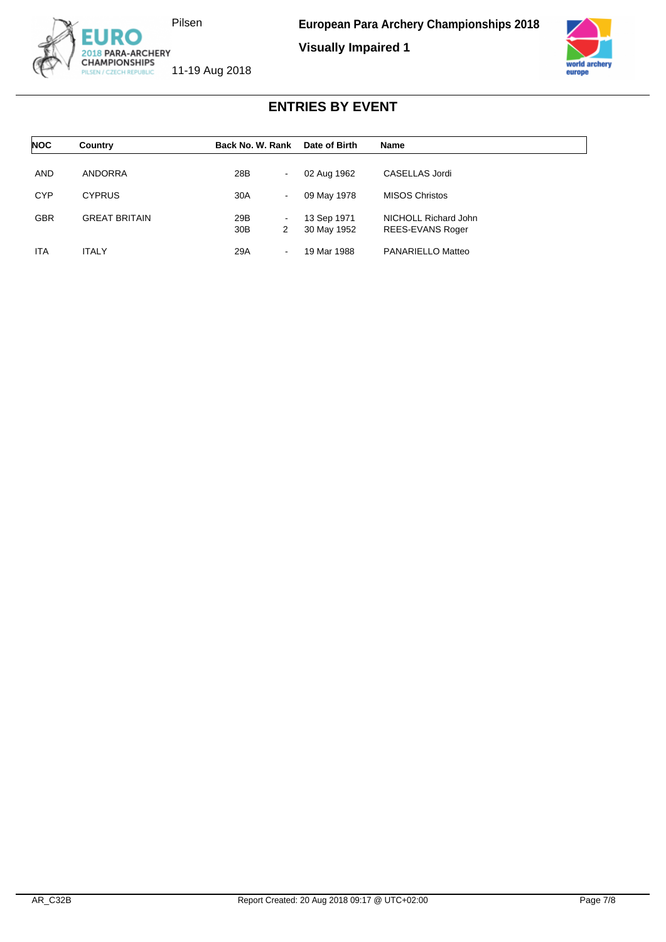

**Visually Impaired 1**



| <b>NOC</b> | Country              | Back No. W. Rank                              | Date of Birth              | <b>Name</b>                              |  |
|------------|----------------------|-----------------------------------------------|----------------------------|------------------------------------------|--|
| <b>AND</b> | ANDORRA              | 28B<br>$\sim$                                 | 02 Aug 1962                | CASELLAS Jordi                           |  |
| <b>CYP</b> | <b>CYPRUS</b>        | 30A<br>$\sim$                                 | 09 May 1978                | <b>MISOS Christos</b>                    |  |
| <b>GBR</b> | <b>GREAT BRITAIN</b> | 29B<br>$\blacksquare$<br>30 <sub>B</sub><br>2 | 13 Sep 1971<br>30 May 1952 | NICHOLL Richard John<br>REES-EVANS Roger |  |
| <b>ITA</b> | <b>ITALY</b>         | 29A<br>$\blacksquare$                         | 19 Mar 1988                | PANARIELLO Matteo                        |  |